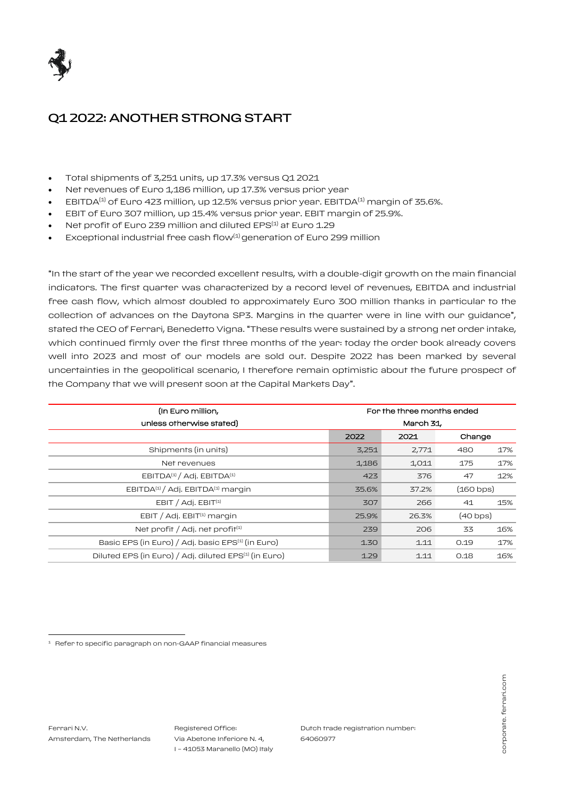

# Q1 2022: ANOTHER STRONG START

- Total shipments of 3,251 units, up 17.3% versus Q1 2021
- Net revenues of Euro 1,186 million, up 17.3% versus prior year
- EBITDA $^{(1)}$  of Euro 423 million, up 12.5% versus prior year. EBITDA $^{(1)}$  margin of 35.6%.
- EBIT of Euro 307 million, up 15.4% versus prior year. EBIT margin of 25.9%.
- Net profit of Euro 239 million and diluted EPS<sup>(1)</sup> at Euro 1.29
- Exceptional industrial free cash flow<sup>(1)</sup> generation of Euro 299 million

"In the start of the year we recorded excellent results, with a double-digit growth on the main financial indicators. The first quarter was characterized by a record level of revenues, EBITDA and industrial free cash flow, which almost doubled to approximately Euro 300 million thanks in particular to the collection of advances on the Daytona SP3. Margins in the quarter were in line with our guidance", stated the CEO of Ferrari, Benedetto Vigna. "These results were sustained by a strong net order intake, which continued firmly over the first three months of the year: today the order book already covers well into 2023 and most of our models are sold out. Despite 2022 has been marked by several uncertainties in the geopolitical scenario, I therefore remain optimistic about the future prospect of the Company that we will present soon at the Capital Markets Day".

| (In Euro million,                                                 | For the three months ended |       |                   |     |
|-------------------------------------------------------------------|----------------------------|-------|-------------------|-----|
| unless otherwise stated)                                          | March 31                   |       |                   |     |
|                                                                   | 2022                       | 2021  | Change            |     |
| Shipments (in units)                                              | 3,251                      | 2,771 | 480               | 17% |
| Net revenues                                                      | 1,186                      | 1,011 | 175               | 17% |
| EBITDA <sup>(1)</sup> / Adj. EBITDA <sup>(1)</sup>                | 423                        | 376   | 47                | 12% |
| EBITDA <sup>(1)</sup> / Adj. EBITDA <sup>(1)</sup> margin         | 35.6%                      | 37.2% | (160 bps)         |     |
| $EBIT / Adi$ . $EBIT(1)$                                          | 307                        | 266   | 41                | 15% |
| EBIT / Adj. EBIT $(1)$ margin                                     | 25.9%                      | 26.3% | $(40 \text{bps})$ |     |
| Net profit / Adj. net profit <sup>(1)</sup>                       | 239                        | 206   | 33                | 16% |
| Basic EPS (in Euro) / Adj. basic EPS <sup>(1)</sup> (in Euro)     | 1.30                       | 1.11  | 0.19              | 17% |
| Diluted EPS (in Euro) / Adj. diluted EPS <sup>(1)</sup> (in Euro) | 1.29                       | 1.11  | 0.18              | 16% |

 $\overline{a}$ 

Dutch trade registration number: 64060977

<sup>&</sup>lt;sup>1</sup> Refer to specific paragraph on non-GAAP financial measures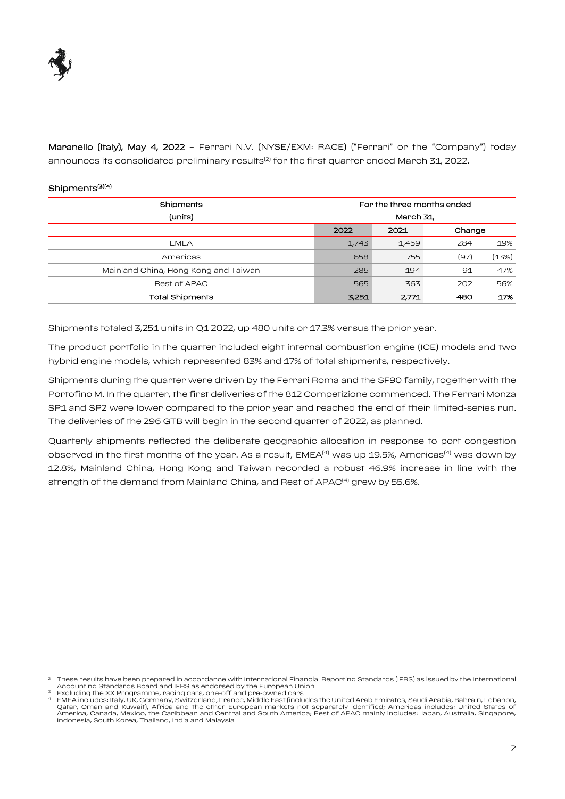

Maranello (Italy), May 4, 2022 - Ferrari N.V. (NYSE/EXM: RACE) ("Ferrari" or the "Company") today announces its consolidated preliminary results<sup>(2)</sup> for the first quarter ended March 31, 2022.

## Shipments<sup>(3)(4)</sup>

 $\overline{a}$ 

| Shipments                            | For the three months ended |       |        |       |
|--------------------------------------|----------------------------|-------|--------|-------|
| (units)                              | March 31,                  |       |        |       |
|                                      | 2022                       | 2021  | Change |       |
| <b>EMEA</b>                          | 1,743                      | 1,459 | 284    | 19%   |
| Americas                             | 658                        | 755   | (97)   | (13%) |
| Mainland China, Hong Kong and Taiwan | 285                        | 194   | 91     | 47%   |
| <b>Rest of APAC</b>                  | 565                        | 363   | 202    | 56%   |
| <b>Total Shipments</b>               | 3,251                      | 2,771 | 480    | 17%   |

Shipments totaled 3,251 units in Q1 2022, up 480 units or 17.3% versus the prior year.

The product portfolio in the quarter included eight internal combustion engine (ICE) models and two hybrid engine models, which represented 83% and 17% of total shipments, respectively.

Shipments during the quarter were driven by the Ferrari Roma and the SF90 family, together with the Portofino M. In the quarter, the first deliveries of the 812 Competizione commenced. The Ferrari Monza SP1 and SP2 were lower compared to the prior year and reached the end of their limited-series run. The deliveries of the 296 GTB will begin in the second quarter of 2022, as planned.

Quarterly shipments reflected the deliberate geographic allocation in response to port congestion observed in the first months of the year. As a result,  $EMEA<sup>(4)</sup>$  was up 19.5%, Americas<sup>(4)</sup> was down by 12.8%, Mainland China, Hong Kong and Taiwan recorded a robust 46.9% increase in line with the strength of the demand from Mainland China, and Rest of  $APAC<sup>(4)</sup>$  grew by 55.6%.

<sup>2</sup> These results have been prepared in accordance with International Financial Reporting Standards (IFRS) as issued by the International Accounting Standards Board and IFRS as endorsed by the European Union <sup>3</sup> Excluding the XX Programme, racing cars, one-off and pre-owned cars

<sup>4</sup> EMEA includes: Italy, UK, Germany, Switzerland, France, Middle East (includes the United Arab Emirates, Saudi Arabia, Bahrain, Lebanon, Qatar, Oman and Kuwait), Africa and the other European markets not separately identified; Americas includes: United States of<br>America, Canada, Mexico, the Caribbean and Central and South America; Rest of APAC mainly includ Indonesia, South Korea, Thailand, India and Malaysia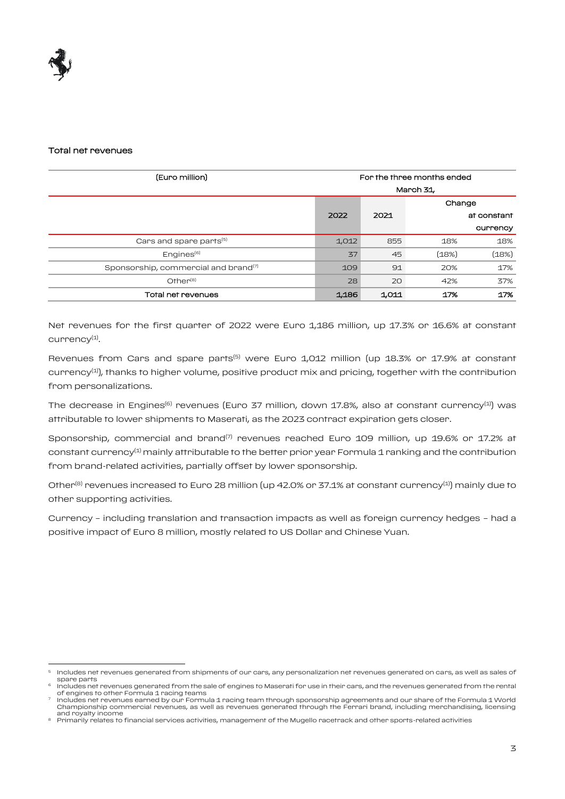

 $\overline{a}$ 

#### Total net revenues

| (Euro million)                                   | For the three months ended |       |        |             |
|--------------------------------------------------|----------------------------|-------|--------|-------------|
|                                                  | March 31,                  |       |        |             |
|                                                  |                            |       | Change |             |
|                                                  | 2022                       | 2021  |        | at constant |
|                                                  |                            |       |        | currency    |
| Cars and spare parts <sup>(5)</sup>              | 1,012                      | 855   | 18%    | 18%         |
| Enqines <sup>(6)</sup>                           | 37                         | 45    | (18%)  | (18%)       |
| Sponsorship, commercial and brand <sup>(7)</sup> | 109                        | 91    | 20%    | 17%         |
| Other <sup>(8)</sup>                             | 28                         | 20    | 42%    | 37%         |
| Total net revenues                               | 1,186                      | 1,011 | 17%    | 17%         |

Net revenues for the first quarter of 2022 were Euro 1,186 million, up 17.3% or 16.6% at constant currency $^{(1)}$ .

Revenues from Cars and spare parts<sup>(5)</sup> were Euro 1,012 million (up 18.3% or 17.9% at constant currency<sup>(1)</sup>), thanks to higher volume, positive product mix and pricing, together with the contribution from personalizations.

The decrease in Engines<sup>(6)</sup> revenues (Euro 37 million, down 17.8%, also at constant currency<sup>(1)</sup>) was attributable to lower shipments to Maserati, as the 2023 contract expiration gets closer.

Sponsorship, commercial and brand<sup>(7)</sup> revenues reached Euro 109 million, up 19.6% or 17.2% at constant currency<sup>(1)</sup> mainly attributable to the better prior year Formula 1 ranking and the contribution from brand-related activities, partially offset by lower sponsorship.

Other<sup>(8)</sup> revenues increased to Euro 28 million (up 42.0% or 37.1% at constant currency<sup>(1)</sup>) mainly due to other supporting activities.

Currency – including translation and transaction impacts as well as foreign currency hedges – had a positive impact of Euro 8 million, mostly related to US Dollar and Chinese Yuan.

<sup>5</sup> Includes net revenues generated from shipments of our cars, any personalization net revenues generated on cars, as well as sales of spare parts

<sup>6</sup> Includes net revenues generated from the sale of engines to Maserati for use in their cars, and the revenues generated from the rental of engines to other Formula 1 racing teams 7

Includes net revenues earned by our Formula 1 racing team through sponsorship agreements and our share of the Formula 1 World Championship commercial revenues, as well as revenues generated through the Ferrari brand, including merchandising, licensing and royalty income

**<sup>8</sup>** Primarily relates to financial services activities, management of the Mugello racetrack and other sports-related activities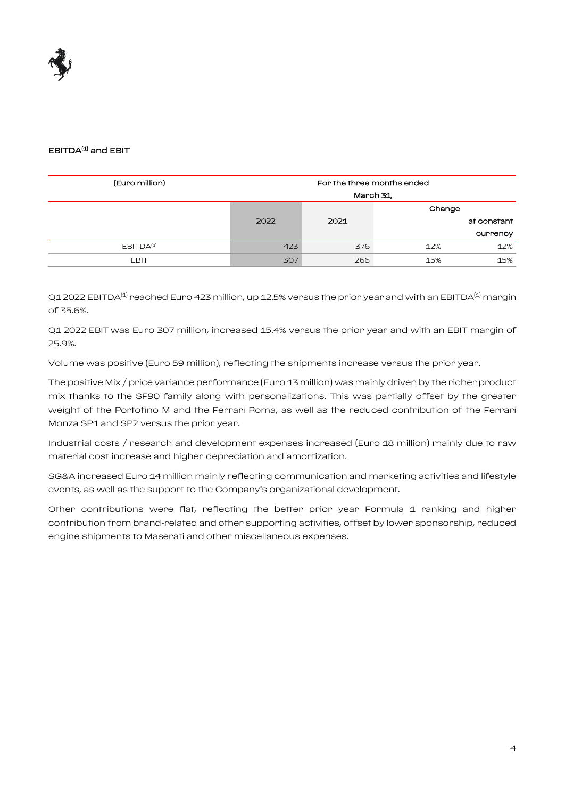

# EBITDA<sup>(1)</sup> and EBIT

| For the three months ended |      |     |             |
|----------------------------|------|-----|-------------|
| March 31,                  |      |     |             |
|                            |      |     |             |
| 2022                       | 2021 |     | at constant |
|                            |      |     | currency    |
| 423                        | 376  | 12% | 12%         |
| 307                        | 266  | 15% | 15%         |
|                            |      |     | Change      |

Q1 2022 EBITDA<sup>(1)</sup> reached Euro 423 million, up 12.5% versus the prior year and with an EBITDA<sup>(1)</sup> margin of 35.6%.

Q1 2022 EBIT was Euro 307 million, increased 15.4% versus the prior year and with an EBIT margin of 25.9%.

Volume was positive (Euro 59 million), reflecting the shipments increase versus the prior year.

The positive Mix / price variance performance (Euro 13 million) was mainly driven by the richer product mix thanks to the SF90 family along with personalizations. This was partially offset by the greater weight of the Portofino M and the Ferrari Roma, as well as the reduced contribution of the Ferrari Monza SP1 and SP2 versus the prior year.

Industrial costs / research and development expenses increased (Euro 18 million) mainly due to raw material cost increase and higher depreciation and amortization.

SG&A increased Euro 14 million mainly reflecting communication and marketing activities and lifestyle events, as well as the support to the Company's organizational development.

Other contributions were flat, reflecting the better prior year Formula 1 ranking and higher contribution from brand-related and other supporting activities, offset by lower sponsorship, reduced engine shipments to Maserati and other miscellaneous expenses.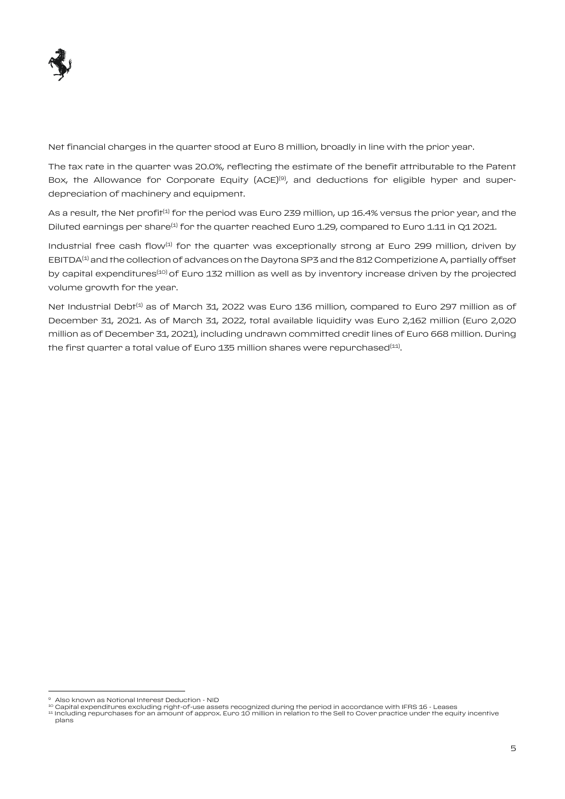

Net financial charges in the quarter stood at Euro 8 million, broadly in line with the prior year.

The tax rate in the quarter was 20.0%, reflecting the estimate of the benefit attributable to the Patent Box, the Allowance for Corporate Equity (ACE)<sup>(9)</sup>, and deductions for eligible hyper and superdepreciation of machinery and equipment.

As a result, the Net profit<sup>(1)</sup> for the period was Euro 239 million, up 16.4% versus the prior year, and the Diluted earnings per share<sup>(1)</sup> for the quarter reached Euro 1.29, compared to Euro 1.11 in Q1 2021.

Industrial free cash flow<sup>(1)</sup> for the quarter was exceptionally strong at Euro 299 million, driven by EBITDA<sup>(1)</sup> and the collection of advances on the Daytona SP3 and the 812 Competizione A, partially offset by capital expenditures<sup>(10)</sup> of Euro 132 million as well as by inventory increase driven by the projected volume growth for the year.

Net Industrial Debt<sup>(1)</sup> as of March 31, 2022 was Euro 136 million, compared to Euro 297 million as of December 31, 2021. As of March 31, 2022, total available liquidity was Euro 2,162 million (Euro 2,020 million as of December 31, 2021), including undrawn committed credit lines of Euro 668 million. During the first quarter a total value of Euro 135 million shares were repurchased $^{(11)}.$ 

 $\overline{a}$ 

Also known as Notional Interest Deduction - NID

ªº Capital expenditures excluding right-of-use assets recognized during the period in accordance with IFRS 16 - Leases<br>ªª Including repurchases for an amount of approx. Euro 10 million in relation to the Sell to Cover pra plans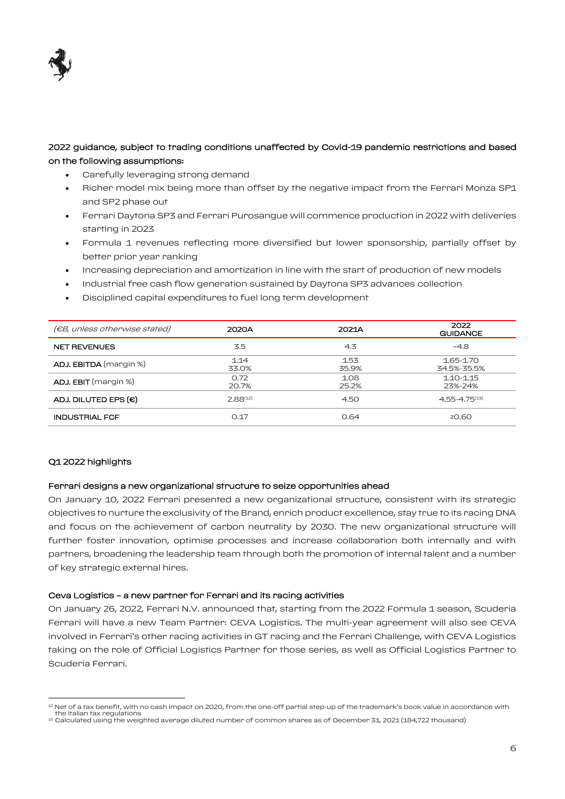

# 2022 guidance, subject to trading conditions unaffected by Covid-19 pandemic restrictions and based on the following assumptions:

- Carefully leveraging strong demand
- Richer model mix being more than offset by the negative impact from the Ferrari Monza SP1 and SP2 phase out
- Ferrari Daytona SP3 and Ferrari Purosangue will commence production in 2022 with deliveries starting in 2023
- Formula 1 revenues reflecting more diversified but lower sponsorship, partially offset by better prior year ranking
- Increasing depreciation and amortization in line with the start of production of new models
- Industrial free cash flow generation sustained by Daytona SP3 advances collection
- Disciplined capital expenditures to fuel long term development

| (€B, unless otherwise stated) | 2020A         | 2021A         | 2022<br><b>GUIDANCE</b>  |
|-------------------------------|---------------|---------------|--------------------------|
| <b>NET REVENUES</b>           | 3.5           | 4.3           | ~4.8                     |
| <b>ADJ. EBITDA</b> (margin %) | 1.14<br>33.0% | 1.53<br>35.9% | 1.65-1.70<br>34.5%-35.5% |
| <b>ADJ. EBIT</b> (margin %)   | 0.72<br>20.7% | 1.08<br>25.2% | $1.10 - 1.15$<br>23%-24% |
| ADJ. DILUTED EPS $(\epsilon)$ | $7.88^{(12)}$ | 4.50          | $4.55 - 4.75^{(13)}$     |
| <b>INDUSTRIAL FCF</b>         | 0.17          | 0.64          | ≥0.60                    |

#### Q1 2022 highlights

 $\overline{a}$ 

#### Ferrari designs a new organizational structure to seize opportunities ahead

On January 10, 2022 Ferrari presented a new organizational structure, consistent with its strategic objectives to nurture the exclusivity of the Brand, enrich product excellence, stay true to its racing DNA and focus on the achievement of carbon neutrality by 2030. The new organizational structure will further foster innovation, optimise processes and increase collaboration both internally and with partners, broadening the leadership team through both the promotion of internal talent and a number of key strategic external hires.

#### Ceva Logistics – a new partner for Ferrari and its racing activities

On January 26, 2022, Ferrari N.V. announced that, starting from the 2022 Formula 1 season, Scuderia Ferrari will have a new Team Partner: CEVA Logistics. The multi-year agreement will also see CEVA involved in Ferrari's other racing activities in GT racing and the Ferrari Challenge, with CEVA Logistics taking on the role of Official Logistics Partner for those series, as well as Official Logistics Partner to Scuderia Ferrari.

<sup>&</sup>lt;sup>12</sup> Net of a tax benefit, with no cash impact on 2020, from the one-off partial step-up of the trademark's book value in accordance with the Italian tax regulations

 $^{13}$  Calculated using the weighted average diluted number of common shares as of December 31, 2021 (184,722 thousand)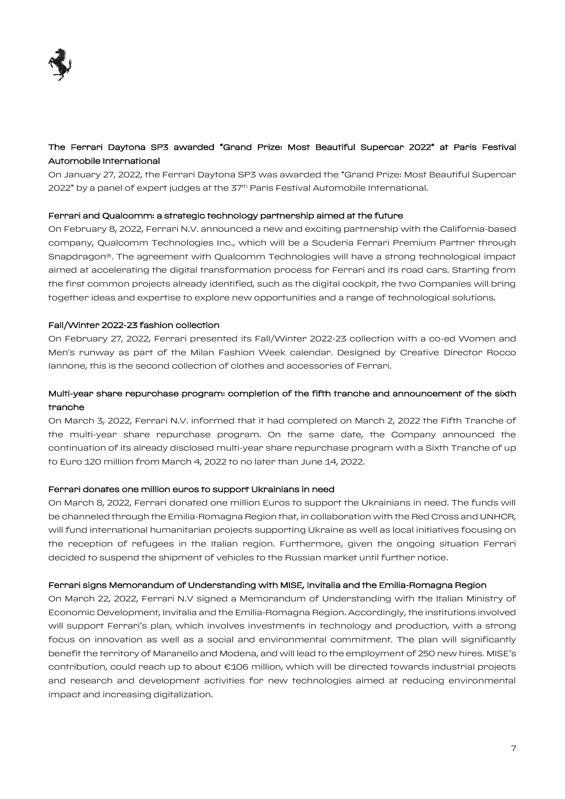

# The Ferrari Daytona SP3 awarded "Grand Prize: Most Beautiful Supercar 2022" at Paris Festival Automobile International

On January 27, 2022, the Ferrari Daytona SP3 was awarded the "Grand Prize: Most Beautiful Supercar 2022" by a panel of expert judges at the 37<sup>th</sup> Paris Festival Automobile International.

#### Ferrari and Qualcomm: a strategic technology partnership aimed at the future

On February 8, 2022, Ferrari N.V. announced a new and exciting partnership with the California-based company, Qualcomm Technologies Inc., which will be a Scuderia Ferrari Premium Partner through Snapdragon®. The agreement with Qualcomm Technologies will have a strong technological impact aimed at accelerating the digital transformation process for Ferrari and its road cars. Starting from the first common projects already identified, such as the digital cockpit, the two Companies will bring together ideas and expertise to explore new opportunities and a range of technological solutions.

#### Fall/Winter 2022-23 fashion collection

On February 27, 2022, Ferrari presented its Fall/Winter 2022-23 collection with a co-ed Women and Men's runway as part of the Milan Fashion Week calendar. Designed by Creative Director Rocco Iannone, this is the second collection of clothes and accessories of Ferrari.

# Multi-year share repurchase program: completion of the fifth tranche and announcement of the sixth tranche

On March 3, 2022, Ferrari N.V. informed that it had completed on March 2, 2022 the Fifth Tranche of the multi-year share repurchase program. On the same date, the Company announced the continuation of its already disclosed multi-year share repurchase program with a Sixth Tranche of up to Euro 120 million from March 4, 2022 to no later than June 14, 2022.

#### Ferrari donates one million euros to support Ukrainians in need

On March 8, 2022, Ferrari donated one million Euros to support the Ukrainians in need. The funds will be channeled through the Emilia-Romagna Region that, in collaboration with the Red Cross and UNHCR, will fund international humanitarian projects supporting Ukraine as well as local initiatives focusing on the reception of refugees in the Italian region. Furthermore, given the ongoing situation Ferrari decided to suspend the shipment of vehicles to the Russian market until further notice.

#### Ferrari signs Memorandum of Understanding with MISE, Invitalia and the Emilia-Romagna Region

On March 22, 2022, Ferrari N.V signed a Memorandum of Understanding with the Italian Ministry of Economic Development, Invitalia and the Emilia-Romagna Region. Accordingly, the institutions involved will support Ferrari's plan, which involves investments in technology and production, with a strong focus on innovation as well as a social and environmental commitment. The plan will significantly benefit the territory of Maranello and Modena, and will lead to the employment of 250 new hires. MISE's contribution, could reach up to about €106 million, which will be directed towards industrial projects and research and development activities for new technologies aimed at reducing environmental impact and increasing digitalization.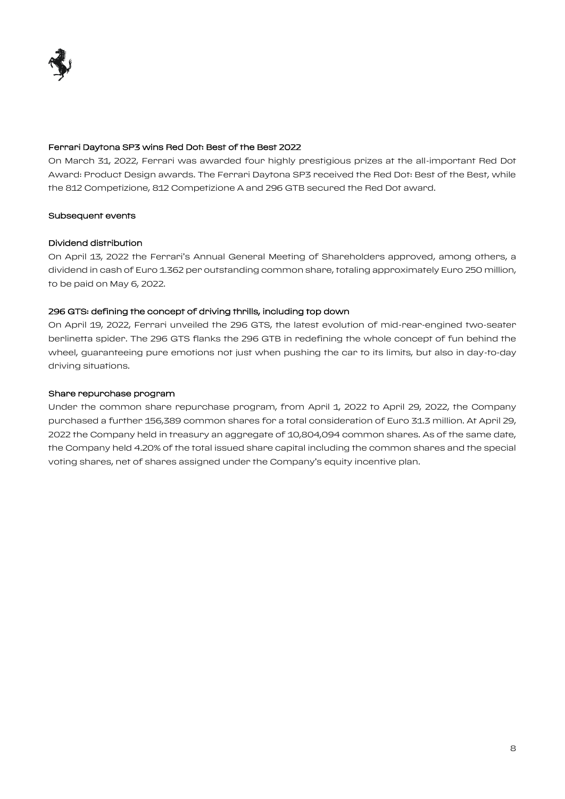

## Ferrari Daytona SP3 wins Red Dot: Best of the Best 2022

On March 31, 2022, Ferrari was awarded four highly prestigious prizes at the all-important Red Dot Award: Product Design awards. The Ferrari Daytona SP3 received the Red Dot: Best of the Best, while the 812 Competizione, 812 Competizione A and 296 GTB secured the Red Dot award.

#### Subsequent events

#### Dividend distribution

On April 13, 2022 the Ferrari's Annual General Meeting of Shareholders approved, among others, a dividend in cash of Euro 1.362 per outstanding common share, totaling approximately Euro 250 million, to be paid on May 6, 2022.

#### 296 GTS: defining the concept of driving thrills, including top down

On April 19, 2022, Ferrari unveiled the 296 GTS, the latest evolution of mid-rear-engined two-seater berlinetta spider. The 296 GTS flanks the 296 GTB in redefining the whole concept of fun behind the wheel, guaranteeing pure emotions not just when pushing the car to its limits, but also in day-to-day driving situations.

#### Share repurchase program

Under the common share repurchase program, from April 1, 2022 to April 29, 2022, the Company purchased a further 156,389 common shares for a total consideration of Euro 31.3 million. At April 29, 2022 the Company held in treasury an aggregate of 10,804,094 common shares. As of the same date, the Company held 4.20% of the total issued share capital including the common shares and the special voting shares, net of shares assigned under the Company's equity incentive plan.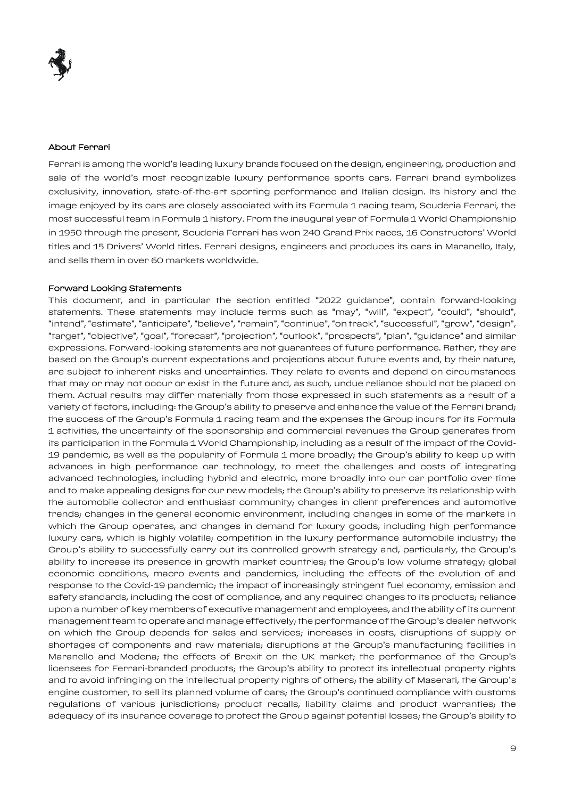### About Ferrari

Ferrari is among the world's leading luxury brands focused on the design, engineering, production and sale of the world's most recognizable luxury performance sports cars. Ferrari brand symbolizes exclusivity, innovation, state-of-the-art sporting performance and Italian design. Its history and the image enjoyed by its cars are closely associated with its Formula 1 racing team, Scuderia Ferrari, the most successful team in Formula 1 history. From the inaugural year of Formula 1 World Championship in 1950 through the present, Scuderia Ferrari has won 240 Grand Prix races, 16 Constructors' World titles and 15 Drivers' World titles. Ferrari designs, engineers and produces its cars in Maranello, Italy, and sells them in over 60 markets worldwide.

#### Forward Looking Statements

This document, and in particular the section entitled "2022 guidance", contain forward-looking statements. These statements may include terms such as "may", "will", "expect", "could", "should", "intend", "estimate", "anticipate", "believe", "remain", "continue", "on track", "successful", "grow", "design", "target", "objective", "goal", "forecast", "projection", "outlook", "prospects", "plan", "guidance" and similar expressions. Forward-looking statements are not guarantees of future performance. Rather, they are based on the Group's current expectations and projections about future events and, by their nature, are subject to inherent risks and uncertainties. They relate to events and depend on circumstances that may or may not occur or exist in the future and, as such, undue reliance should not be placed on them. Actual results may differ materially from those expressed in such statements as a result of a variety of factors, including: the Group's ability to preserve and enhance the value of the Ferrari brand; the success of the Group's Formula 1 racing team and the expenses the Group incurs for its Formula 1 activities, the uncertainty of the sponsorship and commercial revenues the Group generates from its participation in the Formula 1 World Championship, including as a result of the impact of the Covid-19 pandemic, as well as the popularity of Formula 1 more broadly; the Group's ability to keep up with advances in high performance car technology, to meet the challenges and costs of integrating advanced technologies, including hybrid and electric, more broadly into our car portfolio over time and to make appealing designs for our new models; the Group's ability to preserve its relationship with the automobile collector and enthusiast community; changes in client preferences and automotive trends; changes in the general economic environment, including changes in some of the markets in which the Group operates, and changes in demand for luxury goods, including high performance luxury cars, which is highly volatile; competition in the luxury performance automobile industry; the Group's ability to successfully carry out its controlled growth strategy and, particularly, the Group's ability to increase its presence in growth market countries; the Group's low volume strategy; global economic conditions, macro events and pandemics, including the effects of the evolution of and response to the Covid-19 pandemic; the impact of increasingly stringent fuel economy, emission and safety standards, including the cost of compliance, and any required changes to its products; reliance upon a number of key members of executive management and employees, and the ability of its current management team to operate and manage effectively; the performance of the Group's dealer network on which the Group depends for sales and services; increases in costs, disruptions of supply or shortages of components and raw materials; disruptions at the Group's manufacturing facilities in Maranello and Modena; the effects of Brexit on the UK market; the performance of the Group's licensees for Ferrari-branded products; the Group's ability to protect its intellectual property rights and to avoid infringing on the intellectual property rights of others; the ability of Maserati, the Group's engine customer, to sell its planned volume of cars; the Group's continued compliance with customs regulations of various jurisdictions; product recalls, liability claims and product warranties; the adequacy of its insurance coverage to protect the Group against potential losses; the Group's ability to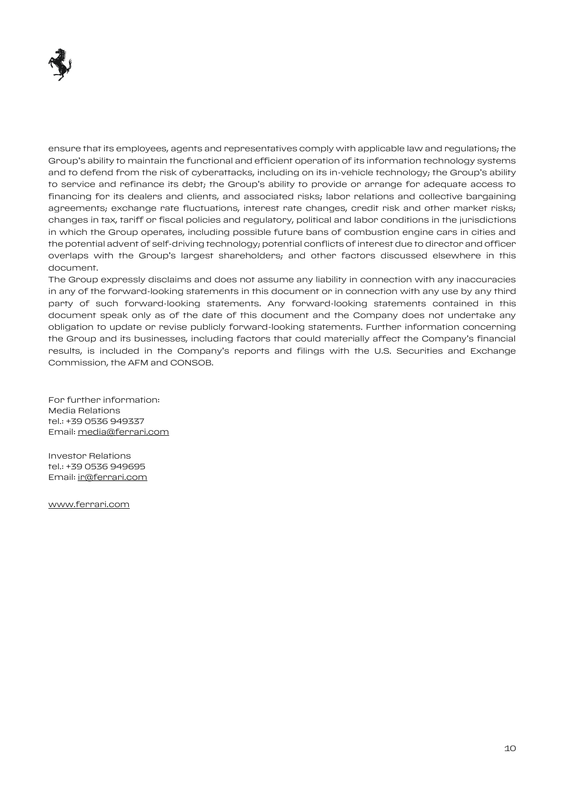

ensure that its employees, agents and representatives comply with applicable law and regulations; the Group's ability to maintain the functional and efficient operation of its information technology systems and to defend from the risk of cyberattacks, including on its in-vehicle technology; the Group's ability to service and refinance its debt; the Group's ability to provide or arrange for adequate access to financing for its dealers and clients, and associated risks; labor relations and collective bargaining agreements; exchange rate fluctuations, interest rate changes, credit risk and other market risks; changes in tax, tariff or fiscal policies and regulatory, political and labor conditions in the jurisdictions in which the Group operates, including possible future bans of combustion engine cars in cities and the potential advent of self-driving technology; potential conflicts of interest due to director and officer overlaps with the Group's largest shareholders; and other factors discussed elsewhere in this document.

The Group expressly disclaims and does not assume any liability in connection with any inaccuracies in any of the forward-looking statements in this document or in connection with any use by any third party of such forward-looking statements. Any forward-looking statements contained in this document speak only as of the date of this document and the Company does not undertake any obligation to update or revise publicly forward-looking statements. Further information concerning the Group and its businesses, including factors that could materially affect the Company's financial results, is included in the Company's reports and filings with the U.S. Securities and Exchange Commission, the AFM and CONSOB.

For further information: Media Relations tel.: +39 0536 949337 Email: [media@ferrari.com](mailto:media@ferrari.com)

Investor Relations tel.: +39 0536 949695 Email: [ir@ferrari.com](mailto:nicoletta.russo@ferrari.com)

[www.ferrari.com](http://www.ferrari.com/)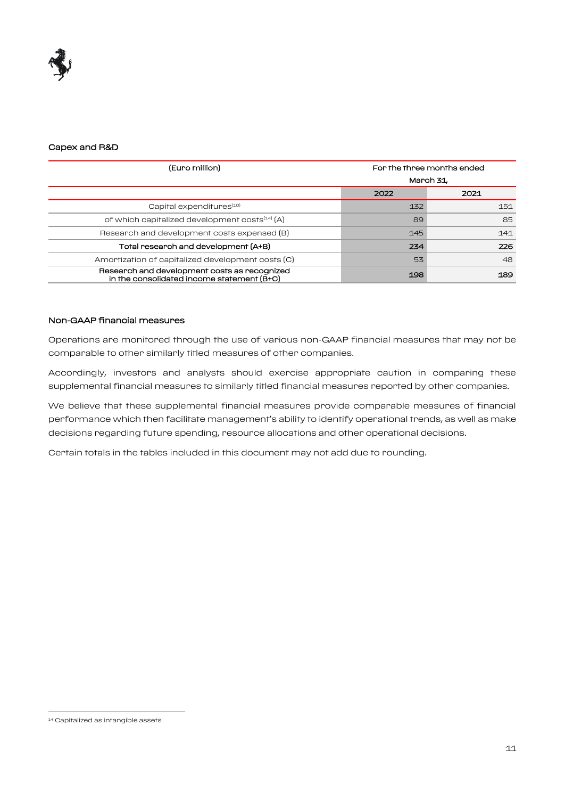

#### Capex and R&D

| (Euro million)                                                                             | For the three months ended |      |  |
|--------------------------------------------------------------------------------------------|----------------------------|------|--|
|                                                                                            | March 31,                  |      |  |
|                                                                                            | 2022                       | 2021 |  |
| Capital expenditures <sup>(10)</sup>                                                       | 132                        | 151  |  |
| of which capitalized development costs <sup>(14)</sup> (A)                                 | 89                         | 85   |  |
| Research and development costs expensed (B)                                                | 145                        | 141  |  |
| Total research and development (A+B)                                                       | 234                        | 226  |  |
| Amortization of capitalized development costs (C)                                          | 53                         | 48   |  |
| Research and development costs as recognized<br>in the consolidated income statement (B+C) | 198                        | 189  |  |

#### Non-GAAP financial measures

Operations are monitored through the use of various non-GAAP financial measures that may not be comparable to other similarly titled measures of other companies.

Accordingly, investors and analysts should exercise appropriate caution in comparing these supplemental financial measures to similarly titled financial measures reported by other companies.

We believe that these supplemental financial measures provide comparable measures of financial performance which then facilitate management's ability to identify operational trends, as well as make decisions regarding future spending, resource allocations and other operational decisions.

Certain totals in the tables included in this document may not add due to rounding.

 $\overline{a}$ 

<sup>14</sup> Capitalized as intangible assets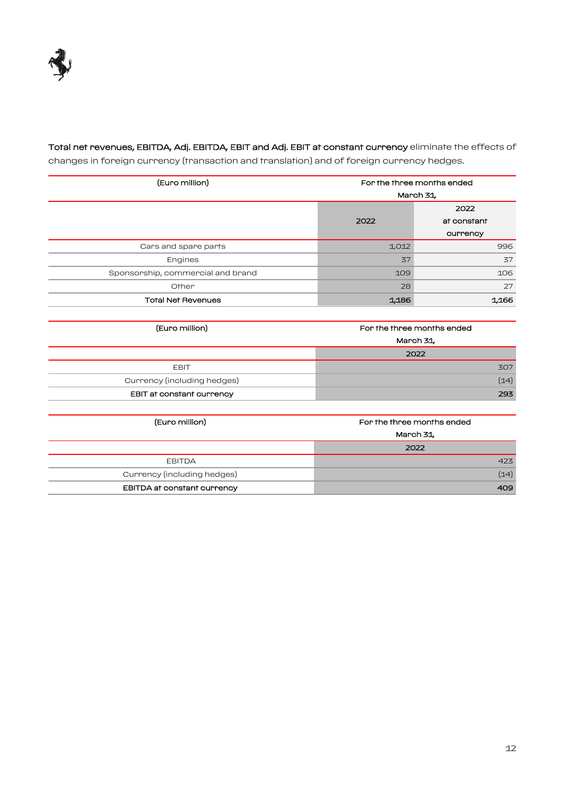

Total net revenues, EBITDA, Adj. EBITDA, EBIT and Adj. EBIT at constant currency eliminate the effects of changes in foreign currency (transaction and translation) and of foreign currency hedges.

| (Euro million)                    | For the three months ended |                            |  |
|-----------------------------------|----------------------------|----------------------------|--|
|                                   | March 31,                  |                            |  |
|                                   | 2022                       |                            |  |
|                                   | 2022                       | at constant                |  |
|                                   |                            | currency                   |  |
| Cars and spare parts              | 1,012                      | 996                        |  |
| Engines                           | 37                         | 37                         |  |
| Sponsorship, commercial and brand | 109                        | 106                        |  |
| Other                             | 28                         | 27                         |  |
| <b>Total Net Revenues</b>         | 1,186                      | 1,166                      |  |
|                                   |                            |                            |  |
| (Euro million)                    |                            | For the three months ended |  |
|                                   |                            | March 31,                  |  |
|                                   | 2022                       |                            |  |
| <b>EBIT</b>                       |                            | 307                        |  |
| Currency (including hedges)       |                            | (14)                       |  |
| EBIT at constant currency         |                            | 293                        |  |

| (Euro million)              | For the three months ended |  |
|-----------------------------|----------------------------|--|
|                             | March 31,                  |  |
|                             | 2022                       |  |
| <b>EBITDA</b>               | 423                        |  |
| Currency (including hedges) | (14)                       |  |
| EBITDA at constant currency | 409                        |  |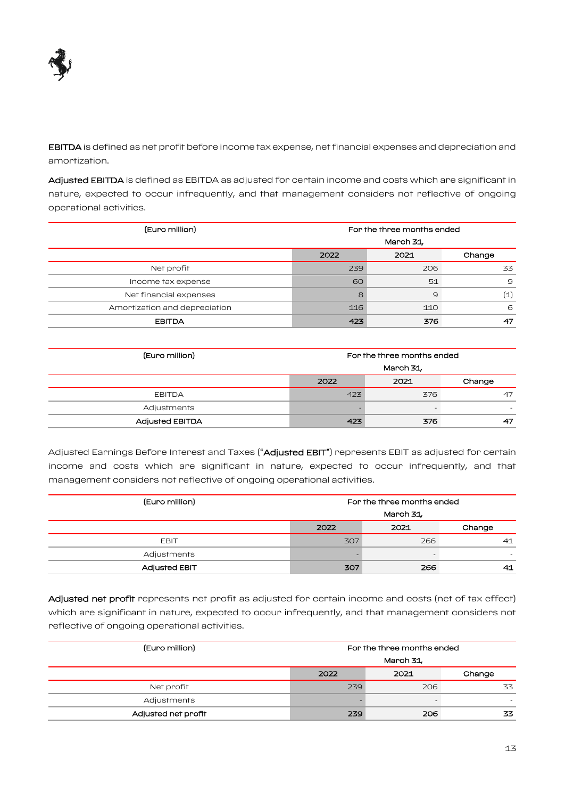

EBITDA is defined as net profit before income tax expense, net financial expenses and depreciation and amortization.

Adjusted EBITDA is defined as EBITDA as adjusted for certain income and costs which are significant in nature, expected to occur infrequently, and that management considers not reflective of ongoing operational activities.

| (Euro million)                | For the three months ended<br>March 31, |     |                   |  |
|-------------------------------|-----------------------------------------|-----|-------------------|--|
|                               | Change<br>2021<br>2022                  |     |                   |  |
| Net profit                    | 239                                     | 206 | 33                |  |
| Income fax expense            | 60                                      | 51  | 9                 |  |
| Net financial expenses        | 8                                       | 9   | $\left( 1\right)$ |  |
| Amortization and depreciation | 116                                     | 110 | 6                 |  |
| <b>EBITDA</b>                 | 47 <sup>7</sup>                         | 376 | 47                |  |

| (Euro million)         | For the three months ended |      |        |
|------------------------|----------------------------|------|--------|
|                        | March 31,                  |      |        |
|                        | 2022                       | 2021 | Change |
| <b>EBITDA</b>          | 423                        | 376  | 47     |
| Adjustments            |                            |      |        |
| <b>Adjusted EBITDA</b> | 423                        | 376  | 47     |

Adjusted Earnings Before Interest and Taxes ("Adjusted EBIT") represents EBIT as adjusted for certain income and costs which are significant in nature, expected to occur infrequently, and that management considers not reflective of ongoing operational activities.

| (Euro million)       | For the three months ended |      |        |
|----------------------|----------------------------|------|--------|
|                      | March 31,                  |      |        |
|                      | 2022                       | 2021 | Change |
| <b>EBIT</b>          | 307                        | 266  | 41     |
| Adjustments          |                            |      |        |
| <b>Adjusted EBIT</b> | 307                        | 266  | 41     |

Adjusted net profit represents net profit as adjusted for certain income and costs (net of tax effect) which are significant in nature, expected to occur infrequently, and that management considers not reflective of ongoing operational activities.

| (Euro million)      | For the three months ended |     |    |  |
|---------------------|----------------------------|-----|----|--|
|                     | March 31,                  |     |    |  |
|                     | Change<br>2021<br>2022     |     |    |  |
| Net profit          | 239                        | 206 | 33 |  |
| Adjustments         |                            |     | -  |  |
| Adjusted net profit | 239                        | 206 | 33 |  |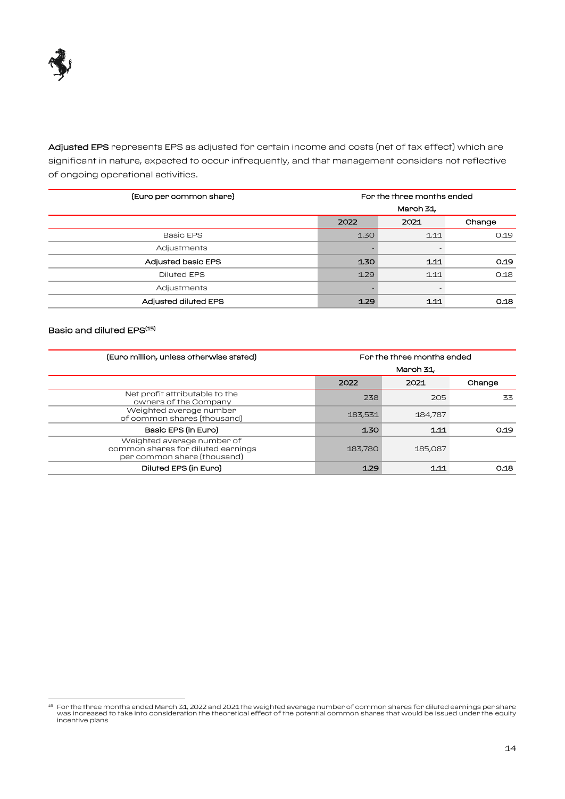

Adjusted EPS represents EPS as adjusted for certain income and costs (net of tax effect) which are significant in nature, expected to occur infrequently, and that management considers not reflective of ongoing operational activities.

| (Euro per common share)     | For the three months ended |      |        |
|-----------------------------|----------------------------|------|--------|
|                             | March 31,                  |      |        |
|                             | 2022                       | 2021 | Change |
| <b>Basic EPS</b>            | 1.30                       | 1.11 | 0.19   |
| Adjustments                 |                            |      |        |
| <b>Adjusted basic EPS</b>   | 1.30                       | 1.11 | 0.19   |
| <b>Diluted EPS</b>          | 1.29                       | 1.11 | 0.18   |
| Adjustments                 |                            |      |        |
| <b>Adjusted diluted EPS</b> | 1.29                       | 1.11 | 0.18   |

# Basic and diluted EPS<sup>(15)</sup>

 $\overline{a}$ 

| (Euro million, unless otherwise stated)                                                         | For the three months ended |         |        |
|-------------------------------------------------------------------------------------------------|----------------------------|---------|--------|
|                                                                                                 | March 31,                  |         |        |
|                                                                                                 | 2022                       | 2021    | Change |
| Net profit attributable to the<br>owners of the Company                                         | 238                        | 205     | 33     |
| Weighted average number<br>of common shares (thousand)                                          | 183,531                    | 184,787 |        |
| Basic EPS (in Euro)                                                                             | 130                        | 1.11    | 0.19   |
| Weighted average number of<br>common shares for diluted earnings<br>per common share (thousand) | 183,780                    | 185,087 |        |
| Diluted EPS (in Euro)                                                                           | 1.29                       | 1.11    | 0.18   |

For the three months ended March 31, 2022 and 2021 the weighted average number of common shares for diluted earnings per share<br>was increased to take into consideration the theoretical effect of the potential common shares incentive plans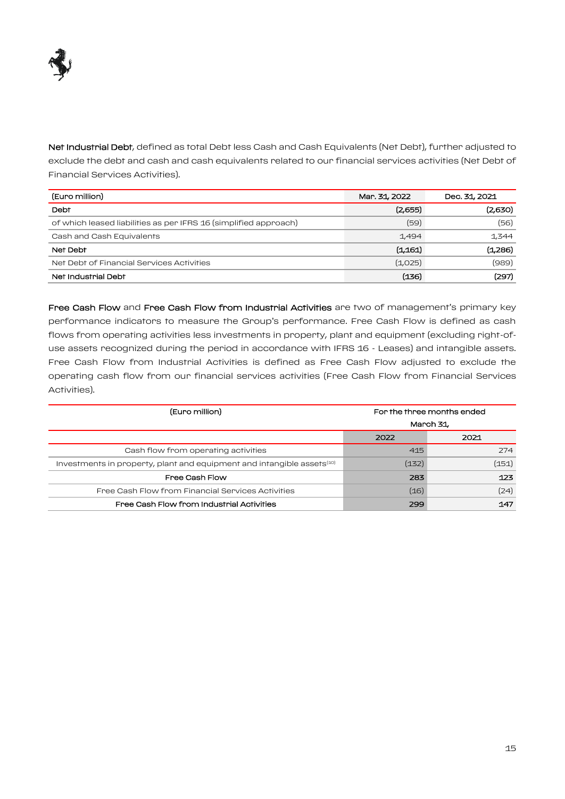

Net Industrial Debt, defined as total Debt less Cash and Cash Equivalents (Net Debt), further adjusted to exclude the debt and cash and cash equivalents related to our financial services activities (Net Debt of Financial Services Activities).

| (Euro million)                                                   | Mar. 31, 2022 | Dec. 31, 2021 |
|------------------------------------------------------------------|---------------|---------------|
| Debt                                                             | (2,655)       | (2,630)       |
| of which leased liabilities as per IFRS 16 (simplified approach) | (59)          | (56)          |
| Cash and Cash Equivalents                                        | 1,494         | 1,344         |
| Net Debt                                                         | (1,161)       | (1,286)       |
| Net Debt of Financial Services Activities                        | (1,025)       | (989)         |
| Net Industrial Debt                                              | (136)         | (297)         |

Free Cash Flow and Free Cash Flow from Industrial Activities are two of management's primary key performance indicators to measure the Group's performance. Free Cash Flow is defined as cash flows from operating activities less investments in property, plant and equipment (excluding right-ofuse assets recognized during the period in accordance with IFRS 16 - Leases) and intangible assets. Free Cash Flow from Industrial Activities is defined as Free Cash Flow adjusted to exclude the operating cash flow from our financial services activities (Free Cash Flow from Financial Services Activities).

| (Euro million)                                                                     | For the three months ended |       |
|------------------------------------------------------------------------------------|----------------------------|-------|
|                                                                                    | March 31                   |       |
|                                                                                    | 2022                       | 2021  |
| Cash flow from operating activities                                                | 415                        | 274   |
| Investments in property, plant and equipment and intangible assets <sup>(10)</sup> | (132)                      | (151) |
| Free Cash Flow                                                                     | 283                        | 123   |
| Free Cash Flow from Financial Services Activities                                  | (16)                       | (24)  |
| Free Cash Flow from Industrial Activities                                          | 299                        | 147   |